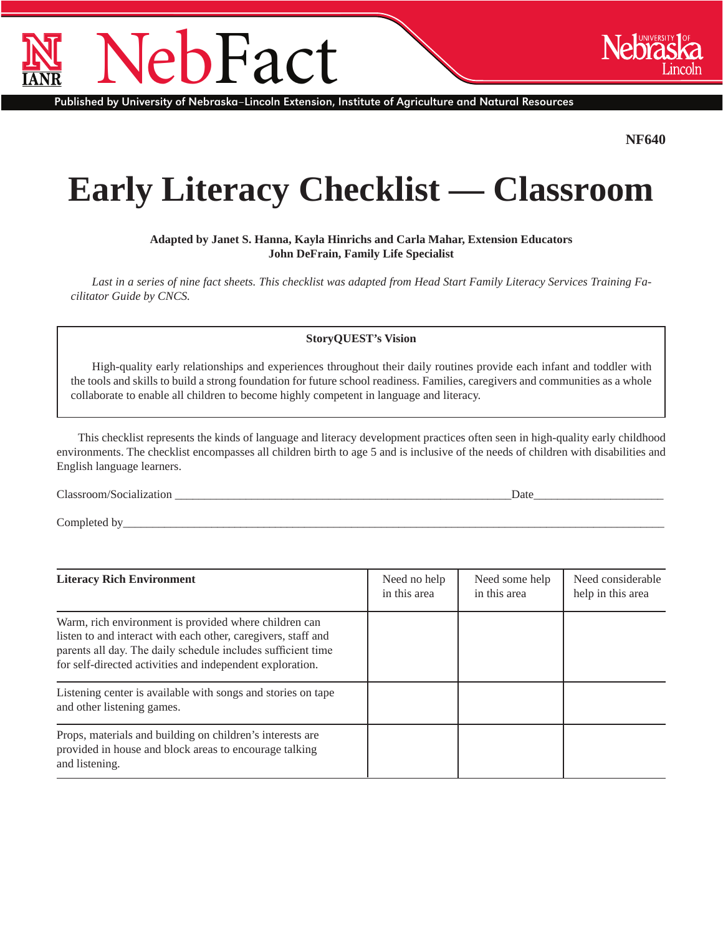## **h**Fact

Published by University of Nebraska–Lincoln Extension, Institute of Agriculture and Natural Resources

**NF640**

## **Early Literacy Checklist — Classroom**

**Adapted by Janet S. Hanna, Kayla Hinrichs and Carla Mahar, Extension Educators John DeFrain, Family Life Specialist**

*Last in a series of nine fact sheets. This checklist was adapted from Head Start Family Literacy Services Training Facilitator Guide by CNCS.*

**StoryQUEST's Vision** 

High-quality early relationships and experiences throughout their daily routines provide each infant and toddler with the tools and skills to build a strong foundation for future school readiness. Families, caregivers and communities as a whole collaborate to enable all children to become highly competent in language and literacy.

This checklist represents the kinds of language and literacy development practices often seen in high-quality early childhood environments. The checklist encompasses all children birth to age 5 and is inclusive of the needs of children with disabilities and English language learners.

Classroom/Socialization **Date** 

Completed by

| <b>Literacy Rich Environment</b>                                                                                                                                                                                                                    | Need no help<br>in this area | Need some help<br>in this area | Need considerable<br>help in this area |
|-----------------------------------------------------------------------------------------------------------------------------------------------------------------------------------------------------------------------------------------------------|------------------------------|--------------------------------|----------------------------------------|
| Warm, rich environment is provided where children can<br>listen to and interact with each other, caregivers, staff and<br>parents all day. The daily schedule includes sufficient time<br>for self-directed activities and independent exploration. |                              |                                |                                        |
| Listening center is available with songs and stories on tape<br>and other listening games.                                                                                                                                                          |                              |                                |                                        |
| Props, materials and building on children's interests are<br>provided in house and block areas to encourage talking<br>and listening.                                                                                                               |                              |                                |                                        |